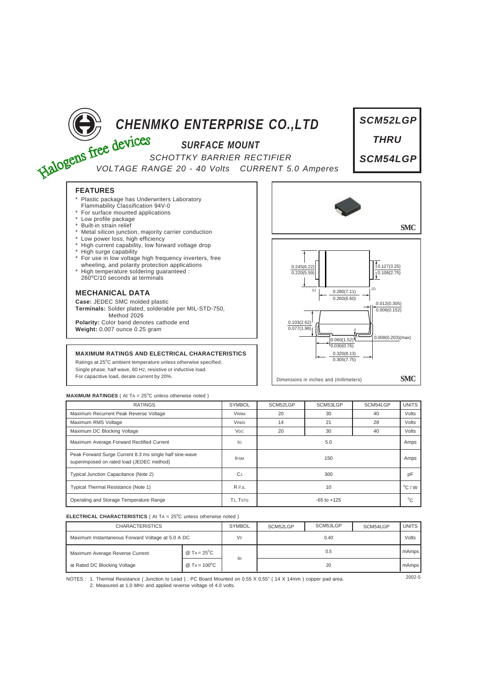

# *SURFACE MOUNT*

**CHENMKO ENTERPRISE CO., LTD**<br>
SCHOTTKY BARRIER PERTY *SCHOTTKY BARRIER RECTIFIER VOLTAGE RANGE 20 - 40 Volts CURRENT 5.0 Amperes*



## **FEATURES**

- Plastic package has Underwriters Laboratory Flammability Classification 94V-0
- For surface mounted applications
- Low profile package
- Built-in strain relief
- Metal silicon junction, majority carrier conduction
- Low power loss, high efficiency
- High current capability, low forward voltage drop
- \* High surge capability
- \* For use in low voltage high frequency inverters, free wheeling, and polarity protection applications
- \* High temperature soldering guaranteed : 260<sup>o</sup> C/10 seconds at terminals

## **MECHANICAL DATA**

**Case:** JEDEC SMC molded plastic **Terminals:** Solder plated, solderable per MIL-STD-750, Method 2026 **Polarity:** Color band denotes cathode end **Weight:** 0.007 ounce 0.25 gram

## **MAXIMUM RATINGS AND ELECTRICAL CHARACTERISTICS**

Ratings at 25°C ambient temperature unless otherwise specified. Single phase, half wave, 60 HZ, resistive or inductive load. For capacitive load, derate current by 20%.



### **MAXIMUM RATINGES** ( At TA = 25°C unless otherwise noted )

| <b>RATINGS</b>                                                                                       | <b>SYMBOL</b>   | SCM52LGP        | SCM53LGP | SCM54LGP | <b>UNITS</b>    |
|------------------------------------------------------------------------------------------------------|-----------------|-----------------|----------|----------|-----------------|
| Maximum Recurrent Peak Reverse Voltage                                                               | <b>VRRM</b>     | 20              | 30       | 40       | Volts           |
| Maximum RMS Voltage                                                                                  | <b>VRMS</b>     | 14              | 21       | 28       | Volts           |
| Maximum DC Blocking Voltage                                                                          | V <sub>DC</sub> | 20              | 30       | 40       | Volts           |
| Maximum Average Forward Rectified Current                                                            | lo              | 5.0             |          |          | Amps            |
| Peak Forward Surge Current 8.3 ms single half sine-wave<br>superimposed on rated load (JEDEC method) | <b>IFSM</b>     | 150             |          |          | Amps            |
| Typical Junction Capacitance (Note 2)                                                                | <b>CJ</b>       | 300             |          |          | pF              |
| Typical Thermal Resistance (Note 1)                                                                  | $R \theta$ JL   | 10              |          |          | $\rm ^{o}C$ / W |
| Operating and Storage Temperature Range                                                              | TJ, TSTG        | $-65$ to $+125$ |          |          | °C              |

### **ELECTRICAL CHARACTERISTICS** ( At TA = 25°C unless otherwise noted )

| <b>CHARACTERISTICS</b>                            |                                       | <b>SYMBOL</b> | SCM52LGP | SCM53LGP | SCM54LGP | <b>UNITS</b> |
|---------------------------------------------------|---------------------------------------|---------------|----------|----------|----------|--------------|
| Maximum Instantaneous Forward Voltage at 5.0 A DC |                                       | VF            | 0.40     |          |          | Volts        |
| Maximum Average Reverse Current                   | @ T <sub>A</sub> = $25^{\circ}$ C     |               | 0.5      |          |          | mAmps        |
| at Rated DC Blocking Voltage                      | $@$ T <sub>A</sub> = 100 $^{\circ}$ C | 1R            | 20       |          |          | mAmps        |

NOTES : 2002-5 1. Thermal Resistance ( Junction to Lead ) : PC Board Mounted on 0.55 X 0.55" ( 14 X 14mm ) copper pad area. 2. Measured at 1.0 MHz and applied reverse voltage of 4.0 volts.